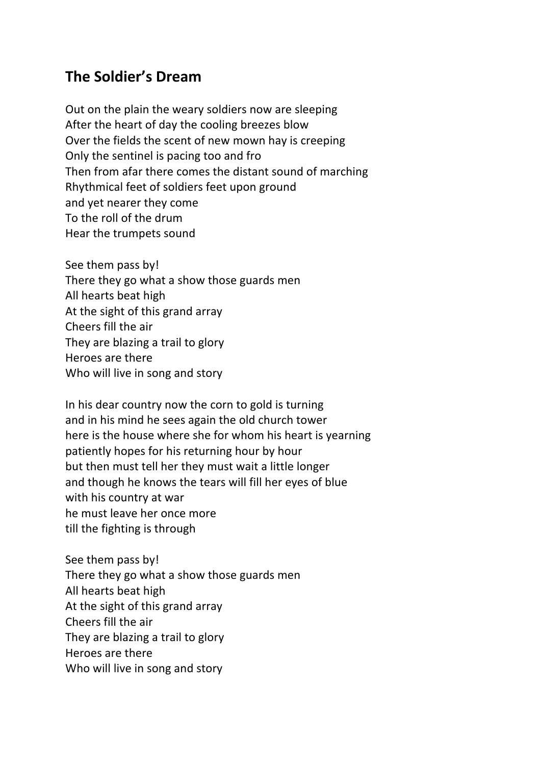## **The Soldier's Dream**

Out on the plain the weary soldiers now are sleeping After the heart of day the cooling breezes blow Over the fields the scent of new mown hay is creeping Only the sentinel is pacing too and fro Then from afar there comes the distant sound of marching Rhythmical feet of soldiers feet upon ground and yet nearer they come To the roll of the drum Hear the trumpets sound

See them pass by! There they go what a show those guards men All hearts beat high At the sight of this grand array Cheers fill the air They are blazing a trail to glory Heroes are there Who will live in song and story

In his dear country now the corn to gold is turning and in his mind he sees again the old church tower here is the house where she for whom his heart is yearning patiently hopes for his returning hour by hour but then must tell her they must wait a little longer and though he knows the tears will fill her eyes of blue with his country at war he must leave her once more till the fighting is through

See them pass by! There they go what a show those guards men All hearts beat high At the sight of this grand array Cheers fill the air They are blazing a trail to glory Heroes are there Who will live in song and story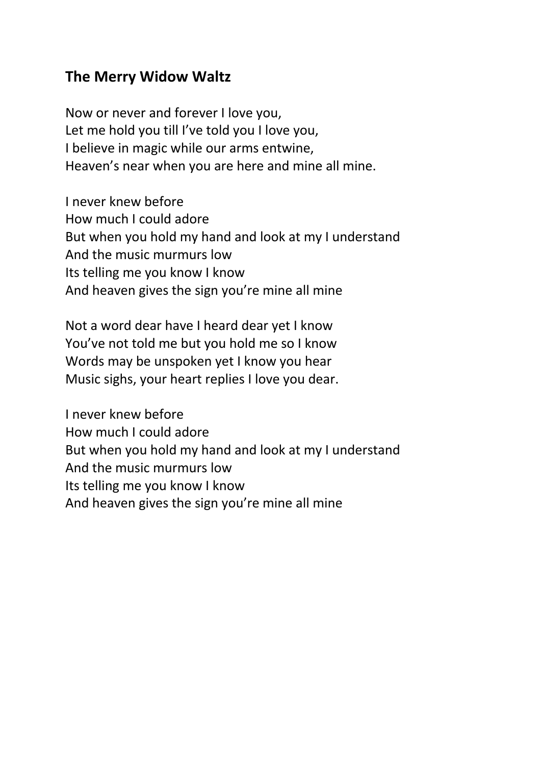## **The Merry Widow Waltz**

Now or never and forever I love you, Let me hold you till I've told you I love you, I believe in magic while our arms entwine, Heaven's near when you are here and mine all mine.

I never knew before How much I could adore But when you hold my hand and look at my I understand And the music murmurs low Its telling me you know I know And heaven gives the sign you're mine all mine

Not a word dear have I heard dear yet I know You've not told me but you hold me so I know Words may be unspoken yet I know you hear Music sighs, your heart replies I love you dear.

I never knew before How much I could adore But when you hold my hand and look at my I understand And the music murmurs low Its telling me you know I know And heaven gives the sign you're mine all mine